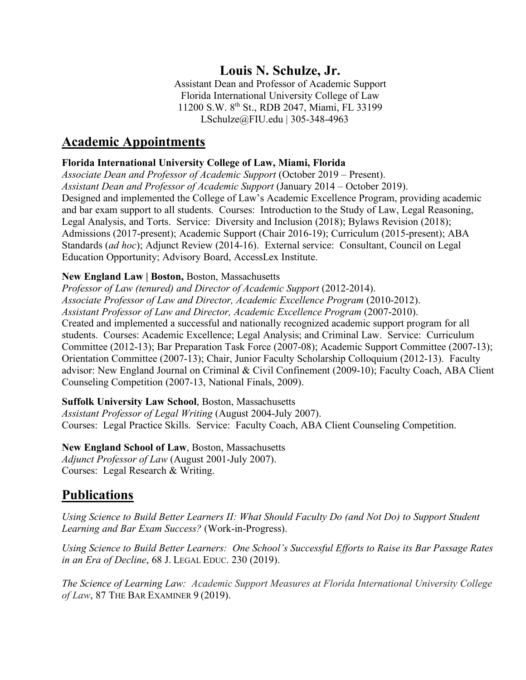## **Louis N. Schulze, Jr.**

Assistant Dean and Professor of Academic Support Florida International University College of Law 11200 S.W. 8th St., RDB 2047, Miami, FL 33199 LSchulze@FIU.edu | 305-348-4963

## **Academic Appointments**

### **Florida International University College of Law, Miami, Florida**

*Associate Dean and Professor of Academic Support* (October 2019 – Present). *Assistant Dean and Professor of Academic Support* (January 2014 – October 2019). Designed and implemented the College of Law's Academic Excellence Program, providing academic and bar exam support to all students. Courses: Introduction to the Study of Law, Legal Reasoning, Legal Analysis, and Torts. Service: Diversity and Inclusion (2018); Bylaws Revision (2018); Admissions (2017-present); Academic Support (Chair 2016-19); Curriculum (2015-present); ABA Standards (*ad hoc*); Adjunct Review (2014-16). External service: Consultant, Council on Legal Education Opportunity; Advisory Board, AccessLex Institute.

### **New England Law | Boston,** Boston, Massachusetts

*Professor of Law (tenured) and Director of Academic Support* (2012-2014). *Associate Professor of Law and Director, Academic Excellence Program* (2010-2012). *Assistant Professor of Law and Director, Academic Excellence Program* (2007-2010). Created and implemented a successful and nationally recognized academic support program for all students. Courses: Academic Excellence; Legal Analysis; and Criminal Law. Service: Curriculum Committee (2012-13); Bar Preparation Task Force (2007-08); Academic Support Committee (2007-13); Orientation Committee (2007-13); Chair, Junior Faculty Scholarship Colloquium (2012-13). Faculty advisor: New England Journal on Criminal & Civil Confinement (2009-10); Faculty Coach, ABA Client Counseling Competition (2007-13, National Finals, 2009).

### **Suffolk University Law School**, Boston, Massachusetts

*Assistant Professor of Legal Writing* (August 2004-July 2007). Courses: Legal Practice Skills. Service: Faculty Coach, ABA Client Counseling Competition.

**New England School of Law**, Boston, Massachusetts

*Adjunct Professor of Law* (August 2001-July 2007). Courses: Legal Research & Writing.

# **Publications**

*Using Science to Build Better Learners II: What Should Faculty Do (and Not Do) to Support Student Learning and Bar Exam Success?* (Work-in-Progress).

*Using Science to Build Better Learners: One School's Successful Efforts to Raise its Bar Passage Rates in an Era of Decline*, 68 J. LEGAL EDUC. 230 (2019).

*The Science of Learning Law: Academic Support Measures at Florida International University College of Law*, 87 THE BAR EXAMINER 9 (2019).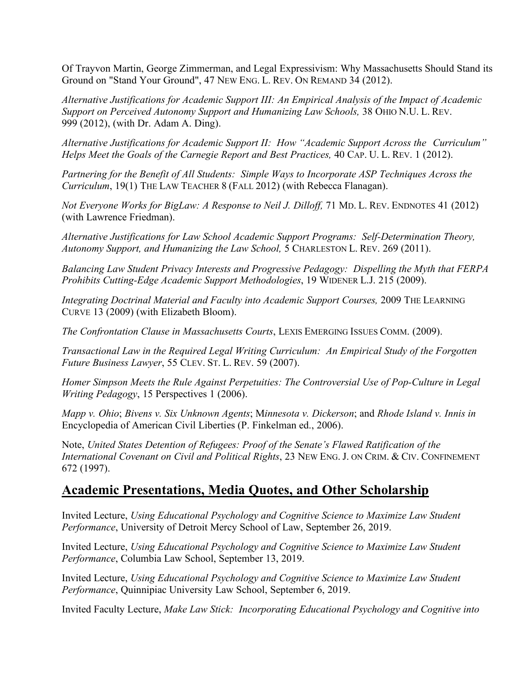Of Trayvon Martin, George Zimmerman, and Legal Expressivism: Why Massachusetts Should Stand its Ground on "Stand Your Ground", 47 NEW ENG. L. REV. ON REMAND 34 (2012).

*Alternative Justifications for Academic Support III: An Empirical Analysis of the Impact of Academic Support on Perceived Autonomy Support and Humanizing Law Schools,* 38 OHIO N.U. L. REV. 999 (2012), (with Dr. Adam A. Ding).

*Alternative Justifications for Academic Support II: How "Academic Support Across the Curriculum" Helps Meet the Goals of the Carnegie Report and Best Practices,* 40 CAP. U. L. REV. 1 (2012).

*Partnering for the Benefit of All Students: Simple Ways to Incorporate ASP Techniques Across the Curriculum*, 19(1) THE LAW TEACHER 8 (FALL 2012) (with Rebecca Flanagan).

*Not Everyone Works for BigLaw: A Response to Neil J. Dilloff,* 71 MD. L. REV. ENDNOTES 41 (2012) (with Lawrence Friedman).

*Alternative Justifications for Law School Academic Support Programs: Self-Determination Theory, Autonomy Support, and Humanizing the Law School,* 5 CHARLESTON L. REV. 269 (2011).

*Balancing Law Student Privacy Interests and Progressive Pedagogy: Dispelling the Myth that FERPA Prohibits Cutting-Edge Academic Support Methodologies*, 19 WIDENER L.J. 215 (2009).

*Integrating Doctrinal Material and Faculty into Academic Support Courses,* 2009 THE LEARNING CURVE 13 (2009) (with Elizabeth Bloom).

*The Confrontation Clause in Massachusetts Courts*, LEXIS EMERGING ISSUES COMM. (2009).

*Transactional Law in the Required Legal Writing Curriculum: An Empirical Study of the Forgotten Future Business Lawyer*, 55 CLEV. ST. L. REV. 59 (2007).

*Homer Simpson Meets the Rule Against Perpetuities: The Controversial Use of Pop-Culture in Legal Writing Pedagogy*, 15 Perspectives 1 (2006).

*Mapp v. Ohio*; *Bivens v. Six Unknown Agents*; M*innesota v. Dickerson*; and *Rhode Island v. Innis in* Encyclopedia of American Civil Liberties (P. Finkelman ed., 2006).

Note, *United States Detention of Refugees: Proof of the Senate's Flawed Ratification of the International Covenant on Civil and Political Rights*, 23 NEW ENG. J. ON CRIM. & CIV. CONFINEMENT 672 (1997).

## **Academic Presentations, Media Quotes, and Other Scholarship**

Invited Lecture, *Using Educational Psychology and Cognitive Science to Maximize Law Student Performance*, University of Detroit Mercy School of Law, September 26, 2019.

Invited Lecture, *Using Educational Psychology and Cognitive Science to Maximize Law Student Performance*, Columbia Law School, September 13, 2019.

Invited Lecture, *Using Educational Psychology and Cognitive Science to Maximize Law Student Performance*, Quinnipiac University Law School, September 6, 2019.

Invited Faculty Lecture, *Make Law Stick: Incorporating Educational Psychology and Cognitive into*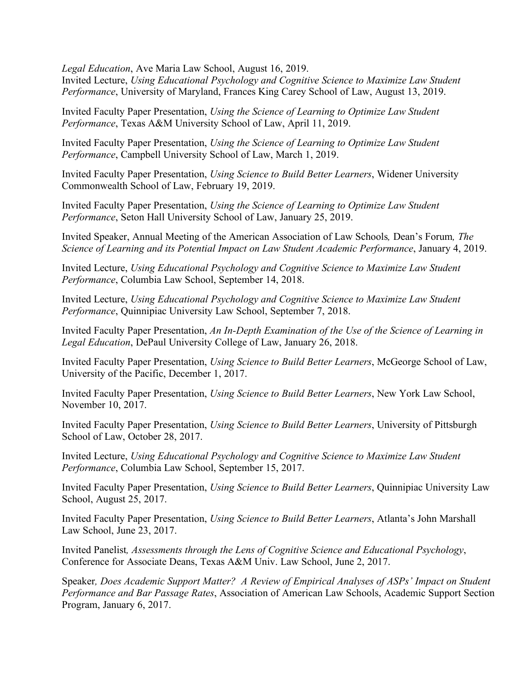*Legal Education*, Ave Maria Law School, August 16, 2019.

Invited Lecture, *Using Educational Psychology and Cognitive Science to Maximize Law Student Performance*, University of Maryland, Frances King Carey School of Law, August 13, 2019.

Invited Faculty Paper Presentation, *Using the Science of Learning to Optimize Law Student Performance*, Texas A&M University School of Law, April 11, 2019.

Invited Faculty Paper Presentation, *Using the Science of Learning to Optimize Law Student Performance*, Campbell University School of Law, March 1, 2019.

Invited Faculty Paper Presentation, *Using Science to Build Better Learners*, Widener University Commonwealth School of Law, February 19, 2019.

Invited Faculty Paper Presentation, *Using the Science of Learning to Optimize Law Student Performance*, Seton Hall University School of Law, January 25, 2019.

Invited Speaker, Annual Meeting of the American Association of Law Schools*,* Dean's Forum*, The Science of Learning and its Potential Impact on Law Student Academic Performance*, January 4, 2019.

Invited Lecture, *Using Educational Psychology and Cognitive Science to Maximize Law Student Performance*, Columbia Law School, September 14, 2018.

Invited Lecture, *Using Educational Psychology and Cognitive Science to Maximize Law Student Performance*, Quinnipiac University Law School, September 7, 2018.

Invited Faculty Paper Presentation, *An In-Depth Examination of the Use of the Science of Learning in Legal Education*, DePaul University College of Law, January 26, 2018.

Invited Faculty Paper Presentation, *Using Science to Build Better Learners*, McGeorge School of Law, University of the Pacific, December 1, 2017.

Invited Faculty Paper Presentation, *Using Science to Build Better Learners*, New York Law School, November 10, 2017.

Invited Faculty Paper Presentation, *Using Science to Build Better Learners*, University of Pittsburgh School of Law, October 28, 2017.

Invited Lecture, *Using Educational Psychology and Cognitive Science to Maximize Law Student Performance*, Columbia Law School, September 15, 2017.

Invited Faculty Paper Presentation, *Using Science to Build Better Learners*, Quinnipiac University Law School, August 25, 2017.

Invited Faculty Paper Presentation, *Using Science to Build Better Learners*, Atlanta's John Marshall Law School, June 23, 2017.

Invited Panelist*, Assessments through the Lens of Cognitive Science and Educational Psychology*, Conference for Associate Deans, Texas A&M Univ. Law School, June 2, 2017.

Speaker*, Does Academic Support Matter? A Review of Empirical Analyses of ASPs' Impact on Student Performance and Bar Passage Rates*, Association of American Law Schools, Academic Support Section Program, January 6, 2017.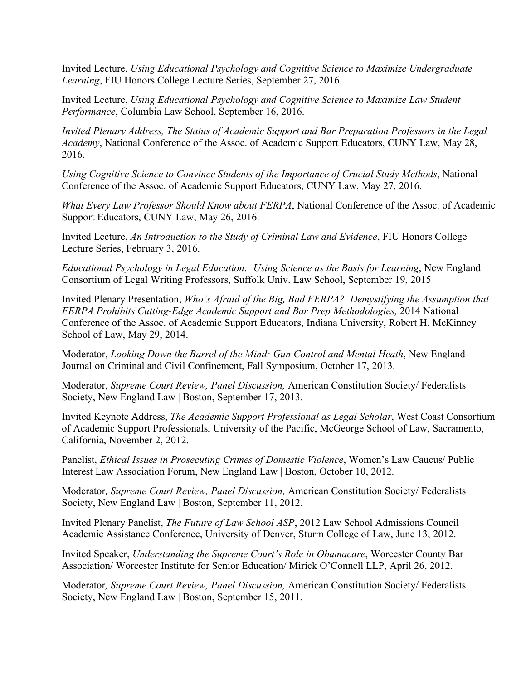Invited Lecture, *Using Educational Psychology and Cognitive Science to Maximize Undergraduate Learning*, FIU Honors College Lecture Series, September 27, 2016.

Invited Lecture, *Using Educational Psychology and Cognitive Science to Maximize Law Student Performance*, Columbia Law School, September 16, 2016.

*Invited Plenary Address, The Status of Academic Support and Bar Preparation Professors in the Legal Academy*, National Conference of the Assoc. of Academic Support Educators, CUNY Law, May 28, 2016.

*Using Cognitive Science to Convince Students of the Importance of Crucial Study Methods*, National Conference of the Assoc. of Academic Support Educators, CUNY Law, May 27, 2016.

*What Every Law Professor Should Know about FERPA*, National Conference of the Assoc. of Academic Support Educators, CUNY Law, May 26, 2016.

Invited Lecture, *An Introduction to the Study of Criminal Law and Evidence*, FIU Honors College Lecture Series, February 3, 2016.

*Educational Psychology in Legal Education: Using Science as the Basis for Learning*, New England Consortium of Legal Writing Professors, Suffolk Univ. Law School, September 19, 2015

Invited Plenary Presentation, *Who's Afraid of the Big, Bad FERPA? Demystifying the Assumption that FERPA Prohibits Cutting-Edge Academic Support and Bar Prep Methodologies, 2014 National* Conference of the Assoc. of Academic Support Educators, Indiana University, Robert H. McKinney School of Law, May 29, 2014.

Moderator, *Looking Down the Barrel of the Mind: Gun Control and Mental Heath*, New England Journal on Criminal and Civil Confinement, Fall Symposium, October 17, 2013.

Moderator, *Supreme Court Review, Panel Discussion,* American Constitution Society/ Federalists Society, New England Law | Boston, September 17, 2013.

Invited Keynote Address, *The Academic Support Professional as Legal Scholar*, West Coast Consortium of Academic Support Professionals, University of the Pacific, McGeorge School of Law, Sacramento, California, November 2, 2012.

Panelist, *Ethical Issues in Prosecuting Crimes of Domestic Violence*, Women's Law Caucus/ Public Interest Law Association Forum, New England Law | Boston, October 10, 2012.

Moderator*, Supreme Court Review, Panel Discussion,* American Constitution Society/ Federalists Society, New England Law | Boston, September 11, 2012.

Invited Plenary Panelist, *The Future of Law School ASP*, 2012 Law School Admissions Council Academic Assistance Conference, University of Denver, Sturm College of Law, June 13, 2012.

Invited Speaker, *Understanding the Supreme Court's Role in Obamacare*, Worcester County Bar Association/ Worcester Institute for Senior Education/ Mirick O'Connell LLP, April 26, 2012.

Moderator*, Supreme Court Review, Panel Discussion,* American Constitution Society/ Federalists Society, New England Law | Boston, September 15, 2011.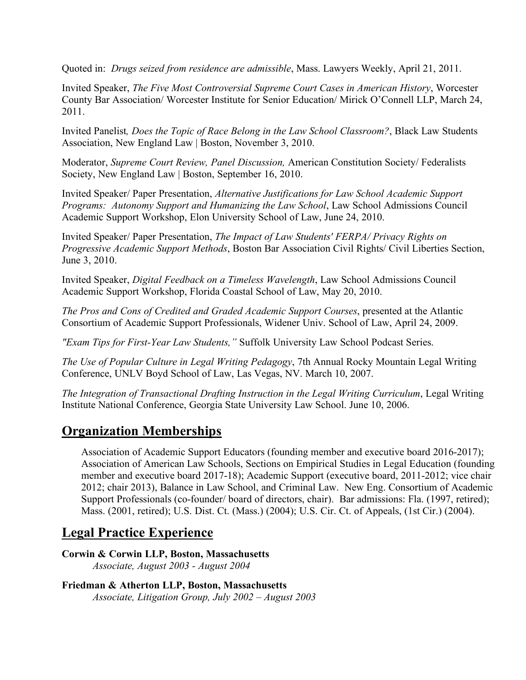Quoted in: *Drugs seized from residence are admissible*, Mass. Lawyers Weekly, April 21, 2011.

Invited Speaker, *The Five Most Controversial Supreme Court Cases in American History*, Worcester County Bar Association/ Worcester Institute for Senior Education/ Mirick O'Connell LLP, March 24, 2011.

Invited Panelist*, Does the Topic of Race Belong in the Law School Classroom?*, Black Law Students Association, New England Law | Boston, November 3, 2010.

Moderator, *Supreme Court Review, Panel Discussion,* American Constitution Society/ Federalists Society, New England Law | Boston, September 16, 2010.

Invited Speaker/ Paper Presentation, *Alternative Justifications for Law School Academic Support Programs: Autonomy Support and Humanizing the Law School*, Law School Admissions Council Academic Support Workshop, Elon University School of Law, June 24, 2010.

Invited Speaker/ Paper Presentation, *The Impact of Law Students' FERPA/ Privacy Rights on Progressive Academic Support Methods*, Boston Bar Association Civil Rights/ Civil Liberties Section, June 3, 2010.

Invited Speaker, *Digital Feedback on a Timeless Wavelength*, Law School Admissions Council Academic Support Workshop, Florida Coastal School of Law, May 20, 2010.

*The Pros and Cons of Credited and Graded Academic Support Courses*, presented at the Atlantic Consortium of Academic Support Professionals, Widener Univ. School of Law, April 24, 2009.

*"Exam Tips for First-Year Law Students,"* Suffolk University Law School Podcast Series.

*The Use of Popular Culture in Legal Writing Pedagogy*, 7th Annual Rocky Mountain Legal Writing Conference, UNLV Boyd School of Law, Las Vegas, NV. March 10, 2007.

*The Integration of Transactional Drafting Instruction in the Legal Writing Curriculum*, Legal Writing Institute National Conference, Georgia State University Law School. June 10, 2006.

## **Organization Memberships**

Association of Academic Support Educators (founding member and executive board 2016-2017); Association of American Law Schools, Sections on Empirical Studies in Legal Education (founding member and executive board 2017-18); Academic Support (executive board, 2011-2012; vice chair 2012; chair 2013), Balance in Law School, and Criminal Law. New Eng. Consortium of Academic Support Professionals (co-founder/ board of directors, chair). Bar admissions: Fla. (1997, retired); Mass. (2001, retired); U.S. Dist. Ct. (Mass.) (2004); U.S. Cir. Ct. of Appeals, (1st Cir.) (2004).

# **Legal Practice Experience**

**Corwin & Corwin LLP, Boston, Massachusetts** *Associate, August 2003 - August 2004*

```
Friedman & Atherton LLP, Boston, Massachusetts
Associate, Litigation Group, July 2002 – August 2003
```